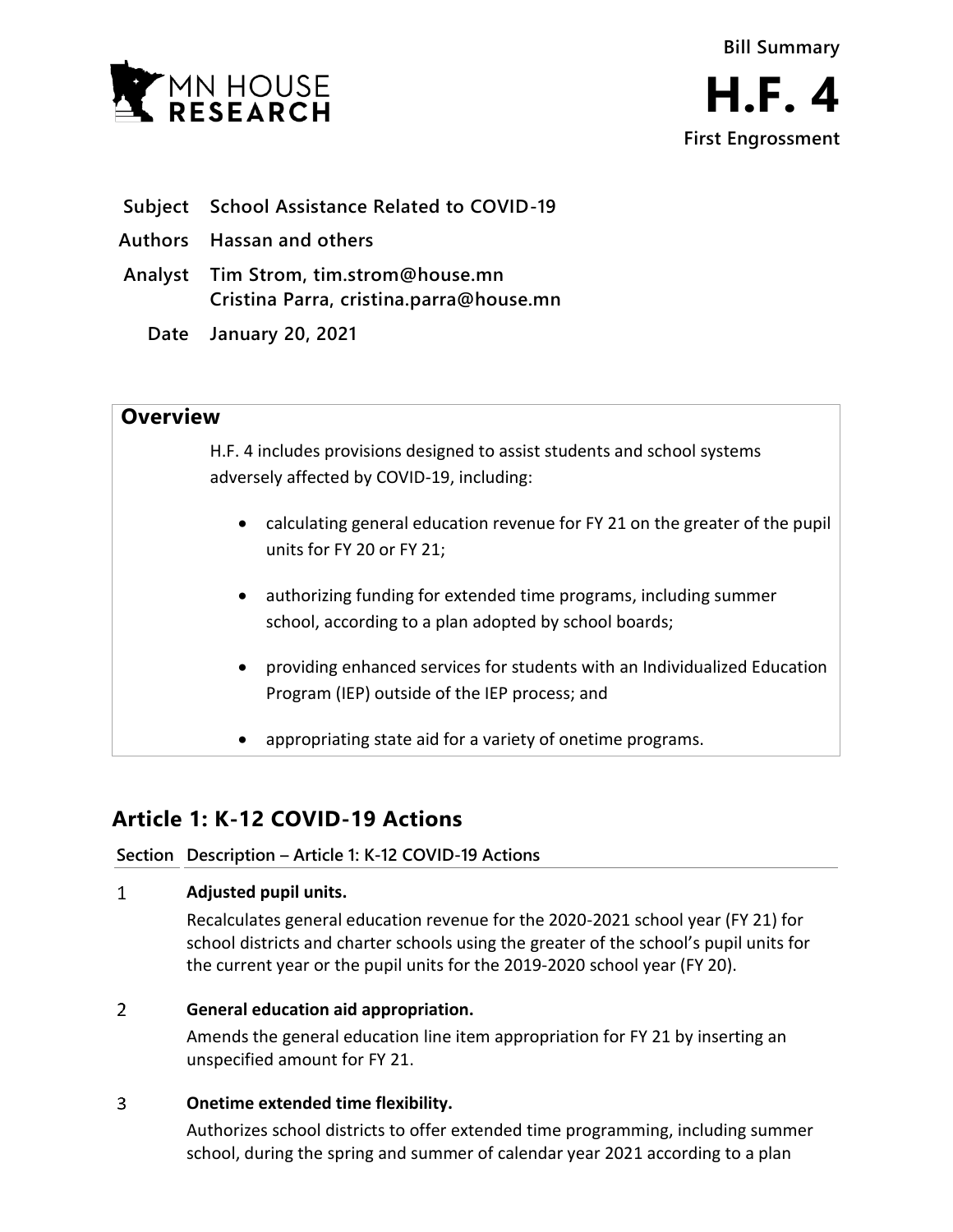

- **Subject School Assistance Related to COVID-19**
- **Authors Hassan and others**
- **Analyst Tim Strom, tim.strom@house.mn Cristina Parra, cristina.parra@house.mn**
	- **Date January 20, 2021**

## **Overview**

H.F. 4 includes provisions designed to assist students and school systems adversely affected by COVID-19, including:

- calculating general education revenue for FY 21 on the greater of the pupil units for FY 20 or FY 21;
- authorizing funding for extended time programs, including summer school, according to a plan adopted by school boards;
- providing enhanced services for students with an Individualized Education Program (IEP) outside of the IEP process; and
- appropriating state aid for a variety of onetime programs.

# **Article 1: K-12 COVID-19 Actions**

## **Section Description – Article 1: K-12 COVID-19 Actions**

#### $\mathbf{1}$ **Adjusted pupil units.**

Recalculates general education revenue for the 2020-2021 school year (FY 21) for school districts and charter schools using the greater of the school's pupil units for the current year or the pupil units for the 2019-2020 school year (FY 20).

#### $\overline{2}$ **General education aid appropriation.**

Amends the general education line item appropriation for FY 21 by inserting an unspecified amount for FY 21.

#### $\overline{3}$ **Onetime extended time flexibility.**

Authorizes school districts to offer extended time programming, including summer school, during the spring and summer of calendar year 2021 according to a plan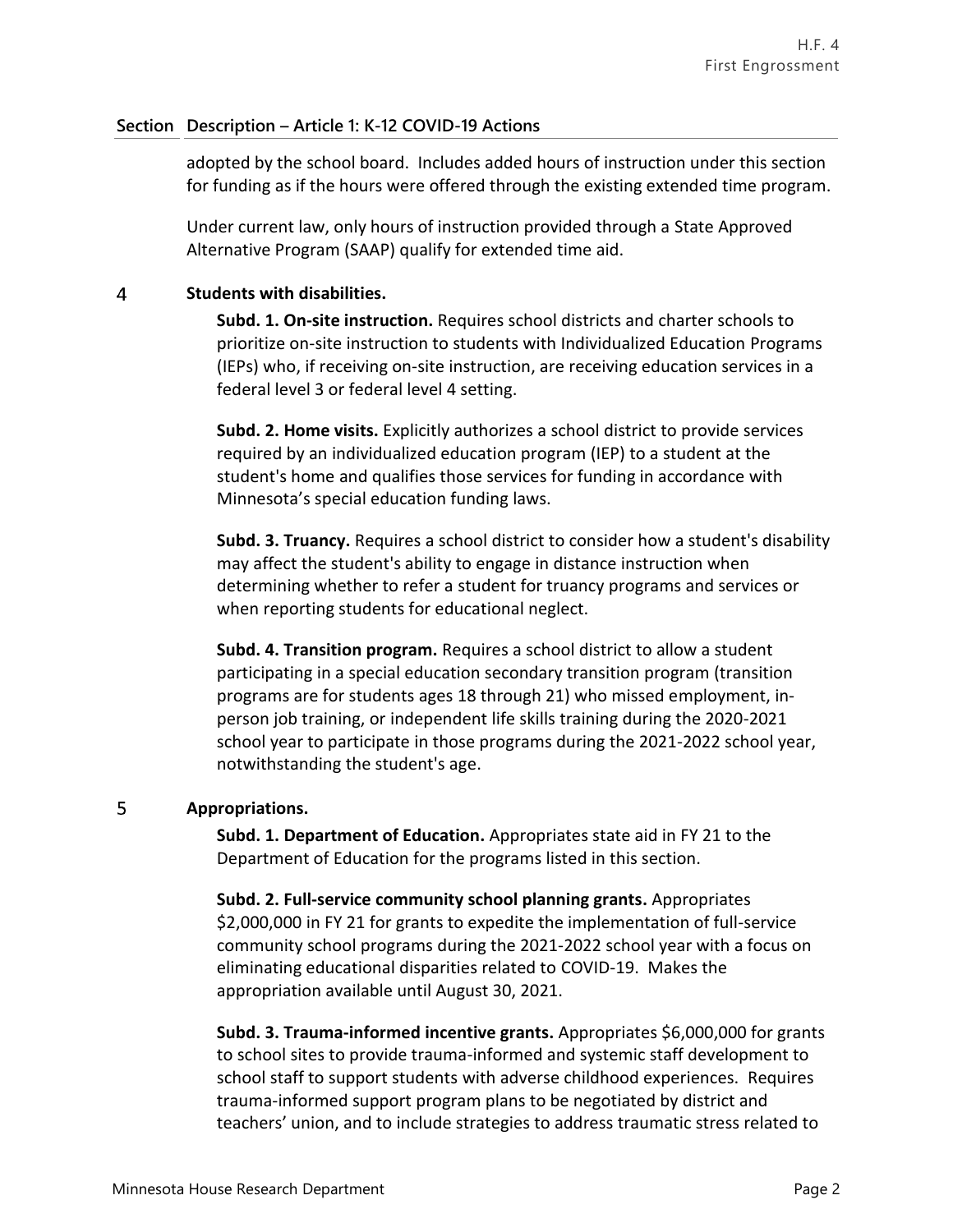### **Section Description – Article 1: K-12 COVID-19 Actions**

adopted by the school board. Includes added hours of instruction under this section for funding as if the hours were offered through the existing extended time program.

Under current law, only hours of instruction provided through a State Approved Alternative Program (SAAP) qualify for extended time aid.

#### $\overline{4}$ **Students with disabilities.**

**Subd. 1. On-site instruction.** Requires school districts and charter schools to prioritize on-site instruction to students with Individualized Education Programs (IEPs) who, if receiving on-site instruction, are receiving education services in a federal level 3 or federal level 4 setting.

**Subd. 2. Home visits.** Explicitly authorizes a school district to provide services required by an individualized education program (IEP) to a student at the student's home and qualifies those services for funding in accordance with Minnesota's special education funding laws.

**Subd. 3. Truancy.** Requires a school district to consider how a student's disability may affect the student's ability to engage in distance instruction when determining whether to refer a student for truancy programs and services or when reporting students for educational neglect.

**Subd. 4. Transition program.** Requires a school district to allow a student participating in a special education secondary transition program (transition programs are for students ages 18 through 21) who missed employment, inperson job training, or independent life skills training during the 2020-2021 school year to participate in those programs during the 2021-2022 school year, notwithstanding the student's age.

#### 5 **Appropriations.**

**Subd. 1. Department of Education.** Appropriates state aid in FY 21 to the Department of Education for the programs listed in this section.

**Subd. 2. Full-service community school planning grants.** Appropriates \$2,000,000 in FY 21 for grants to expedite the implementation of full-service community school programs during the 2021-2022 school year with a focus on eliminating educational disparities related to COVID-19. Makes the appropriation available until August 30, 2021.

**Subd. 3. Trauma-informed incentive grants.** Appropriates \$6,000,000 for grants to school sites to provide trauma-informed and systemic staff development to school staff to support students with adverse childhood experiences. Requires trauma-informed support program plans to be negotiated by district and teachers' union, and to include strategies to address traumatic stress related to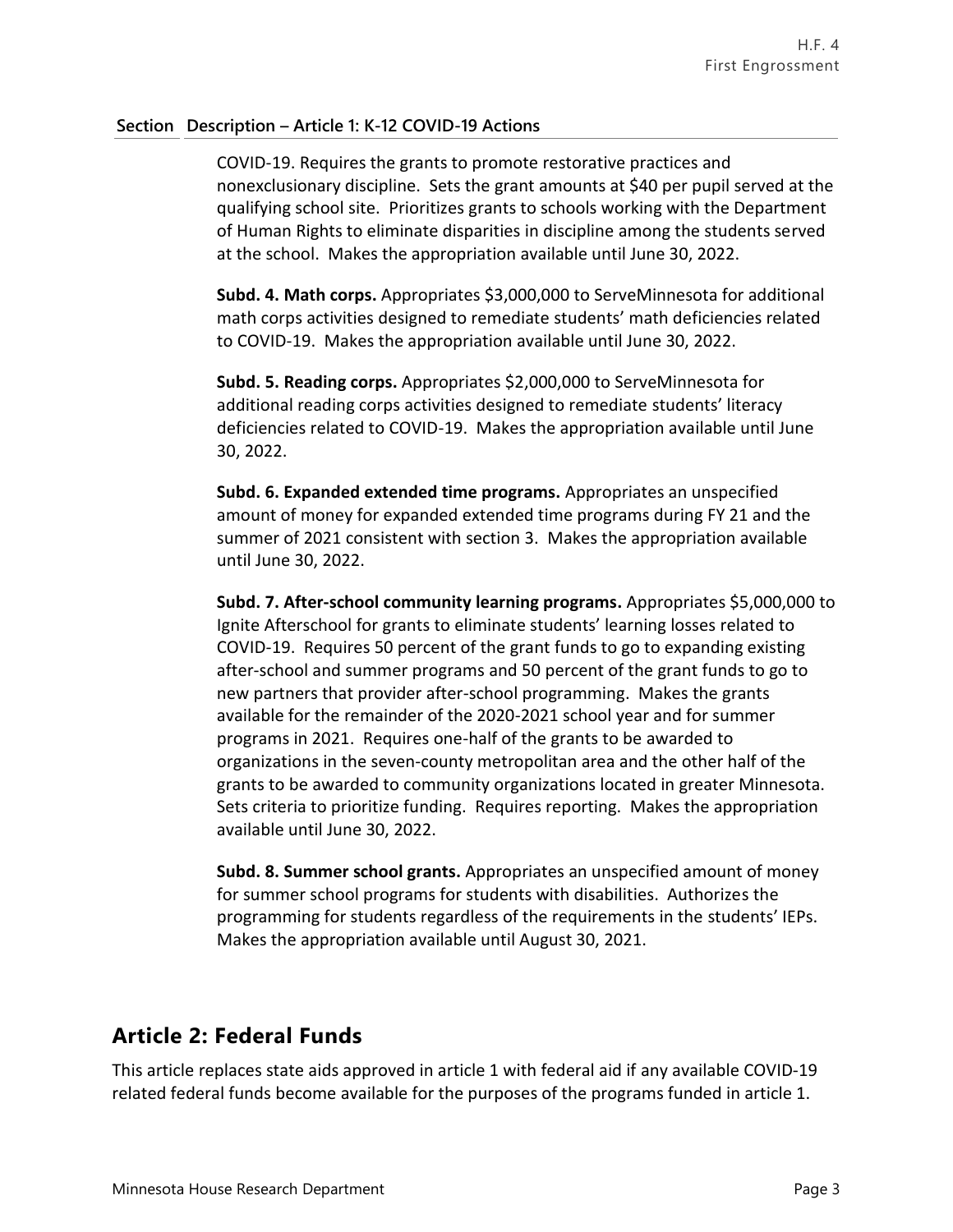### **Section Description – Article 1: K-12 COVID-19 Actions**

COVID-19. Requires the grants to promote restorative practices and nonexclusionary discipline. Sets the grant amounts at \$40 per pupil served at the qualifying school site. Prioritizes grants to schools working with the Department of Human Rights to eliminate disparities in discipline among the students served at the school. Makes the appropriation available until June 30, 2022.

**Subd. 4. Math corps.** Appropriates \$3,000,000 to ServeMinnesota for additional math corps activities designed to remediate students' math deficiencies related to COVID-19. Makes the appropriation available until June 30, 2022.

**Subd. 5. Reading corps.** Appropriates \$2,000,000 to ServeMinnesota for additional reading corps activities designed to remediate students' literacy deficiencies related to COVID-19. Makes the appropriation available until June 30, 2022.

**Subd. 6. Expanded extended time programs.** Appropriates an unspecified amount of money for expanded extended time programs during FY 21 and the summer of 2021 consistent with section 3. Makes the appropriation available until June 30, 2022.

**Subd. 7. After-school community learning programs.** Appropriates \$5,000,000 to Ignite Afterschool for grants to eliminate students' learning losses related to COVID-19. Requires 50 percent of the grant funds to go to expanding existing after-school and summer programs and 50 percent of the grant funds to go to new partners that provider after-school programming. Makes the grants available for the remainder of the 2020-2021 school year and for summer programs in 2021. Requires one-half of the grants to be awarded to organizations in the seven-county metropolitan area and the other half of the grants to be awarded to community organizations located in greater Minnesota. Sets criteria to prioritize funding. Requires reporting. Makes the appropriation available until June 30, 2022.

**Subd. 8. Summer school grants.** Appropriates an unspecified amount of money for summer school programs for students with disabilities. Authorizes the programming for students regardless of the requirements in the students' IEPs. Makes the appropriation available until August 30, 2021.

# **Article 2: Federal Funds**

This article replaces state aids approved in article 1 with federal aid if any available COVID-19 related federal funds become available for the purposes of the programs funded in article 1.